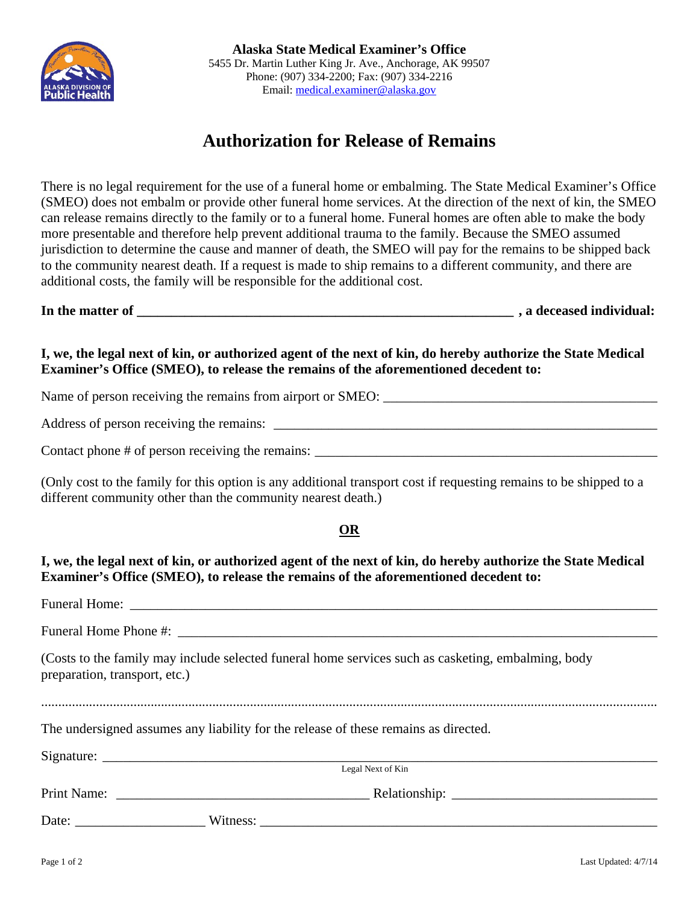

## **Authorization for Release of Remains**

There is no legal requirement for the use of a funeral home or embalming. The State Medical Examiner's Office (SMEO) does not embalm or provide other funeral home services. At the direction of the next of kin, the SMEO can release remains directly to the family or to a funeral home. Funeral homes are often able to make the body more presentable and therefore help prevent additional trauma to the family. Because the SMEO assumed jurisdiction to determine the cause and manner of death, the SMEO will pay for the remains to be shipped back to the community nearest death. If a request is made to ship remains to a different community, and there are additional costs, the family will be responsible for the additional cost.

**In the matter of \_\_\_\_\_\_\_\_\_\_\_\_\_\_\_\_\_\_\_\_\_\_\_\_\_\_\_\_\_\_\_\_\_\_\_\_\_\_\_\_\_\_\_\_\_\_\_\_\_\_\_\_\_\_\_ , a deceased individual:** 

**I, we, the legal next of kin, or authorized agent of the next of kin, do hereby authorize the State Medical Examiner's Office (SMEO), to release the remains of the aforementioned decedent to:** 

Name of person receiving the remains from airport or SMEO:

Address of person receiving the remains: \_\_\_\_\_\_\_\_\_\_\_\_\_\_\_\_\_\_\_\_\_\_\_\_\_\_\_\_\_\_\_\_\_\_\_\_\_\_\_\_\_\_\_\_\_\_\_\_\_\_\_\_\_\_\_\_

Contact phone  $#$  of person receiving the remains:  $\frac{1}{\sqrt{2}}$ 

(Only cost to the family for this option is any additional transport cost if requesting remains to be shipped to a different community other than the community nearest death.)

## **OR**

**I, we, the legal next of kin, or authorized agent of the next of kin, do hereby authorize the State Medical Examiner's Office (SMEO), to release the remains of the aforementioned decedent to:** 

| preparation, transport, etc.) | (Costs to the family may include selected funeral home services such as casketing, embalming, body |
|-------------------------------|----------------------------------------------------------------------------------------------------|
|                               | The undersigned assumes any liability for the release of these remains as directed.                |
|                               | Legal Next of Kin                                                                                  |
|                               |                                                                                                    |
|                               |                                                                                                    |